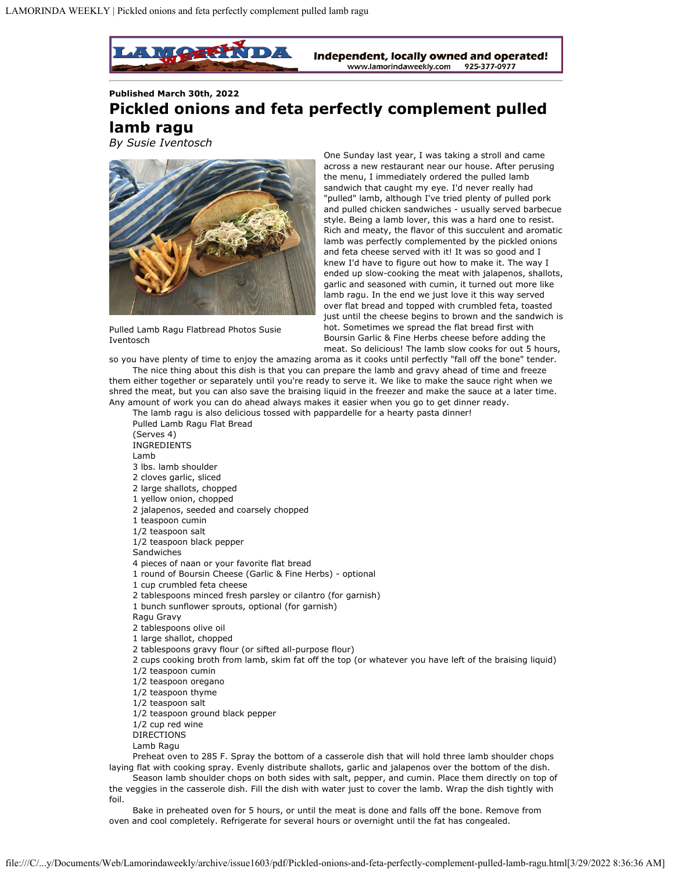

**Published March 30th, 2022**

## **Pickled onions and feta perfectly complement pulled lamb ragu**

*By Susie Iventosch*



Pulled Lamb Ragu Flatbread Photos Susie Iventosch

One Sunday last year, I was taking a stroll and came across a new restaurant near our house. After perusing the menu, I immediately ordered the pulled lamb sandwich that caught my eye. I'd never really had "pulled" lamb, although I've tried plenty of pulled pork and pulled chicken sandwiches - usually served barbecue style. Being a lamb lover, this was a hard one to resist. Rich and meaty, the flavor of this succulent and aromatic lamb was perfectly complemented by the pickled onions and feta cheese served with it! It was so good and I knew I'd have to figure out how to make it. The way I ended up slow-cooking the meat with jalapenos, shallots, garlic and seasoned with cumin, it turned out more like lamb ragu. In the end we just love it this way served over flat bread and topped with crumbled feta, toasted just until the cheese begins to brown and the sandwich is hot. Sometimes we spread the flat bread first with Boursin Garlic & Fine Herbs cheese before adding the meat. So delicious! The lamb slow cooks for out 5 hours,

so you have plenty of time to enjoy the amazing aroma as it cooks until perfectly "fall off the bone" tender. The nice thing about this dish is that you can prepare the lamb and gravy ahead of time and freeze them either together or separately until you're ready to serve it. We like to make the sauce right when we shred the meat, but you can also save the braising liquid in the freezer and make the sauce at a later time.

Any amount of work you can do ahead always makes it easier when you go to get dinner ready. The lamb ragu is also delicious tossed with pappardelle for a hearty pasta dinner! Pulled Lamb Ragu Flat Bread (Serves 4) INGREDIENTS Lamb 3 lbs. lamb shoulder 2 cloves garlic, sliced 2 large shallots, chopped 1 yellow onion, chopped 2 jalapenos, seeded and coarsely chopped 1 teaspoon cumin 1/2 teaspoon salt 1/2 teaspoon black pepper Sandwiches 4 pieces of naan or your favorite flat bread 1 round of Boursin Cheese (Garlic & Fine Herbs) - optional 1 cup crumbled feta cheese 2 tablespoons minced fresh parsley or cilantro (for garnish) 1 bunch sunflower sprouts, optional (for garnish) Ragu Gravy 2 tablespoons olive oil 1 large shallot, chopped 2 tablespoons gravy flour (or sifted all-purpose flour) 2 cups cooking broth from lamb, skim fat off the top (or whatever you have left of the braising liquid) 1/2 teaspoon cumin 1/2 teaspoon oregano 1/2 teaspoon thyme 1/2 teaspoon salt 1/2 teaspoon ground black pepper 1/2 cup red wine DIRECTIONS Lamb Ragu Preheat oven to 285 F. Spray the bottom of a casserole dish that will hold three lamb shoulder chops laying flat with cooking spray. Evenly distribute shallots, garlic and jalapenos over the bottom of the dish.

Season lamb shoulder chops on both sides with salt, pepper, and cumin. Place them directly on top of the veggies in the casserole dish. Fill the dish with water just to cover the lamb. Wrap the dish tightly with foil.

Bake in preheated oven for 5 hours, or until the meat is done and falls off the bone. Remove from oven and cool completely. Refrigerate for several hours or overnight until the fat has congealed.